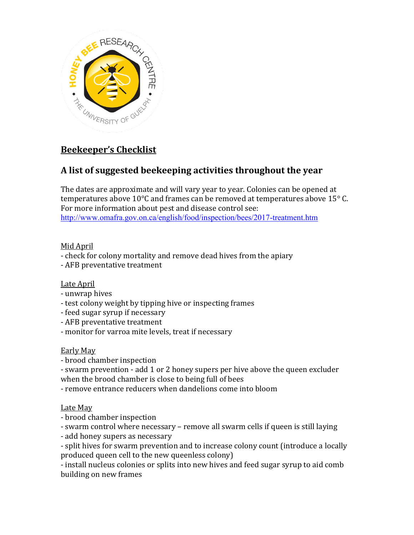

# **Beekeeper's Checklist**

## **A list of suggested beekeeping activities throughout the year**

The dates are approximate and will vary year to year. Colonies can be opened at temperatures above 10 $^{\circ}$ C and frames can be removed at temperatures above 15 $^{\circ}$  C. For more information about pest and disease control see: <http://www.omafra.gov.on.ca/english/food/inspection/bees/2017-treatment.htm>

#### Mid April

- check for colony mortality and remove dead hives from the apiary
- AFB preventative treatment

## Late April

- unwrap hives
- test colony weight by tipping hive or inspecting frames
- feed sugar syrup if necessary
- AFB preventative treatment
- monitor for varroa mite levels, treat if necessary

## Early May

- brood chamber inspection
- swarm prevention add 1 or 2 honey supers per hive above the queen excluder when the brood chamber is close to being full of bees
- remove entrance reducers when dandelions come into bloom

## Late May

- brood chamber inspection
- swarm control where necessary remove all swarm cells if queen is still laying
- add honey supers as necessary
- split hives for swarm prevention and to increase colony count (introduce a locally produced queen cell to the new queenless colony)
- install nucleus colonies or splits into new hives and feed sugar syrup to aid comb building on new frames